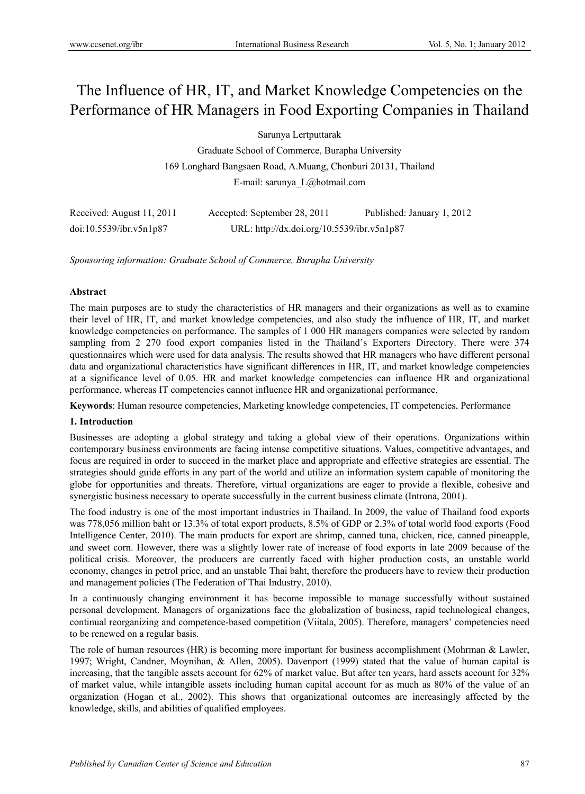# The Influence of HR, IT, and Market Knowledge Competencies on the Performance of HR Managers in Food Exporting Companies in Thailand

Sarunya Lertputtarak

Graduate School of Commerce, Burapha University 169 Longhard Bangsaen Road, A.Muang, Chonburi 20131, Thailand E-mail: sarunya\_L@hotmail.com

| Received: August 11, 2011 | Accepted: September 28, 2011               | Published: January 1, 2012 |
|---------------------------|--------------------------------------------|----------------------------|
| doi:10.5539/ibr.v5n1p87   | URL: http://dx.doi.org/10.5539/ibr.v5n1p87 |                            |

*Sponsoring information: Graduate School of Commerce, Burapha University*

# **Abstract**

The main purposes are to study the characteristics of HR managers and their organizations as well as to examine their level of HR, IT, and market knowledge competencies, and also study the influence of HR, IT, and market knowledge competencies on performance. The samples of 1 000 HR managers companies were selected by random sampling from 2 270 food export companies listed in the Thailand's Exporters Directory. There were 374 questionnaires which were used for data analysis. The results showed that HR managers who have different personal data and organizational characteristics have significant differences in HR, IT, and market knowledge competencies at a significance level of 0.05. HR and market knowledge competencies can influence HR and organizational performance, whereas IT competencies cannot influence HR and organizational performance.

**Keywords**: Human resource competencies, Marketing knowledge competencies, IT competencies, Performance

## **1. Introduction**

Businesses are adopting a global strategy and taking a global view of their operations. Organizations within contemporary business environments are facing intense competitive situations. Values, competitive advantages, and focus are required in order to succeed in the market place and appropriate and effective strategies are essential. The strategies should guide efforts in any part of the world and utilize an information system capable of monitoring the globe for opportunities and threats. Therefore, virtual organizations are eager to provide a flexible, cohesive and synergistic business necessary to operate successfully in the current business climate (Introna, 2001).

The food industry is one of the most important industries in Thailand. In 2009, the value of Thailand food exports was 778,056 million baht or 13.3% of total export products, 8.5% of GDP or 2.3% of total world food exports (Food Intelligence Center, 2010). The main products for export are shrimp, canned tuna, chicken, rice, canned pineapple, and sweet corn. However, there was a slightly lower rate of increase of food exports in late 2009 because of the political crisis. Moreover, the producers are currently faced with higher production costs, an unstable world economy, changes in petrol price, and an unstable Thai baht, therefore the producers have to review their production and management policies (The Federation of Thai Industry, 2010).

In a continuously changing environment it has become impossible to manage successfully without sustained personal development. Managers of organizations face the globalization of business, rapid technological changes, continual reorganizing and competence-based competition (Viitala, 2005). Therefore, managers' competencies need to be renewed on a regular basis.

The role of human resources (HR) is becoming more important for business accomplishment (Mohrman & Lawler, 1997; Wright, Candner, Moynihan, & Allen, 2005). Davenport (1999) stated that the value of human capital is increasing, that the tangible assets account for 62% of market value. But after ten years, hard assets account for 32% of market value, while intangible assets including human capital account for as much as 80% of the value of an organization (Hogan et al., 2002). This shows that organizational outcomes are increasingly affected by the knowledge, skills, and abilities of qualified employees.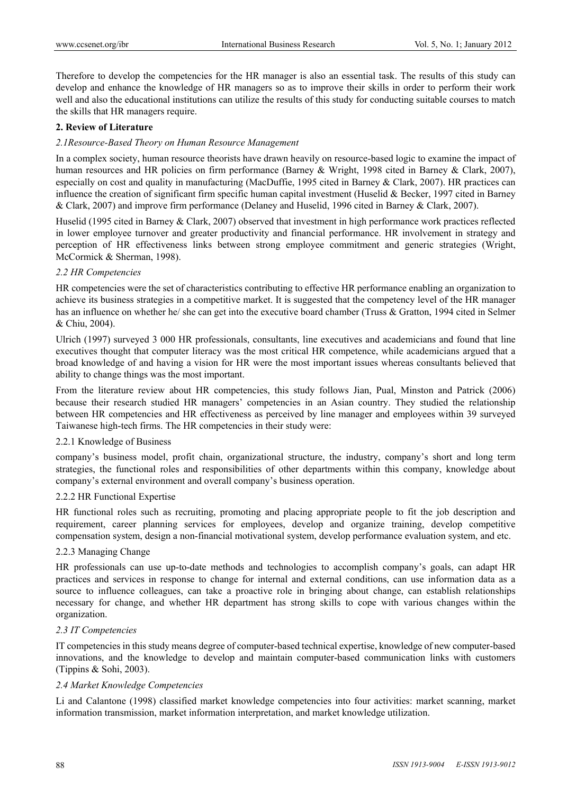Therefore to develop the competencies for the HR manager is also an essential task. The results of this study can develop and enhance the knowledge of HR managers so as to improve their skills in order to perform their work well and also the educational institutions can utilize the results of this study for conducting suitable courses to match the skills that HR managers require.

## **2. Review of Literature**

#### *2.1Resource-Based Theory on Human Resource Management*

In a complex society, human resource theorists have drawn heavily on resource-based logic to examine the impact of human resources and HR policies on firm performance (Barney & Wright, 1998 cited in Barney & Clark, 2007), especially on cost and quality in manufacturing (MacDuffie, 1995 cited in Barney & Clark, 2007). HR practices can influence the creation of significant firm specific human capital investment (Huselid & Becker, 1997 cited in Barney & Clark, 2007) and improve firm performance (Delaney and Huselid, 1996 cited in Barney & Clark, 2007).

Huselid (1995 cited in Barney & Clark, 2007) observed that investment in high performance work practices reflected in lower employee turnover and greater productivity and financial performance. HR involvement in strategy and perception of HR effectiveness links between strong employee commitment and generic strategies (Wright, McCormick & Sherman, 1998).

#### *2.2 HR Competencies*

HR competencies were the set of characteristics contributing to effective HR performance enabling an organization to achieve its business strategies in a competitive market. It is suggested that the competency level of the HR manager has an influence on whether he/ she can get into the executive board chamber (Truss & Gratton, 1994 cited in Selmer & Chiu, 2004).

Ulrich (1997) surveyed 3 000 HR professionals, consultants, line executives and academicians and found that line executives thought that computer literacy was the most critical HR competence, while academicians argued that a broad knowledge of and having a vision for HR were the most important issues whereas consultants believed that ability to change things was the most important.

From the literature review about HR competencies, this study follows Jian, Pual, Minston and Patrick (2006) because their research studied HR managers' competencies in an Asian country. They studied the relationship between HR competencies and HR effectiveness as perceived by line manager and employees within 39 surveyed Taiwanese high-tech firms. The HR competencies in their study were:

## 2.2.1 Knowledge of Business

company's business model, profit chain, organizational structure, the industry, company's short and long term strategies, the functional roles and responsibilities of other departments within this company, knowledge about company's external environment and overall company's business operation.

## 2.2.2 HR Functional Expertise

HR functional roles such as recruiting, promoting and placing appropriate people to fit the job description and requirement, career planning services for employees, develop and organize training, develop competitive compensation system, design a non-financial motivational system, develop performance evaluation system, and etc.

### 2.2.3 Managing Change

HR professionals can use up-to-date methods and technologies to accomplish company's goals, can adapt HR practices and services in response to change for internal and external conditions, can use information data as a source to influence colleagues, can take a proactive role in bringing about change, can establish relationships necessary for change, and whether HR department has strong skills to cope with various changes within the organization.

## *2.3 IT Competencies*

IT competencies in this study means degree of computer-based technical expertise, knowledge of new computer-based innovations, and the knowledge to develop and maintain computer-based communication links with customers (Tippins & Sohi, 2003).

## *2.4 Market Knowledge Competencies*

Li and Calantone (1998) classified market knowledge competencies into four activities: market scanning, market information transmission, market information interpretation, and market knowledge utilization.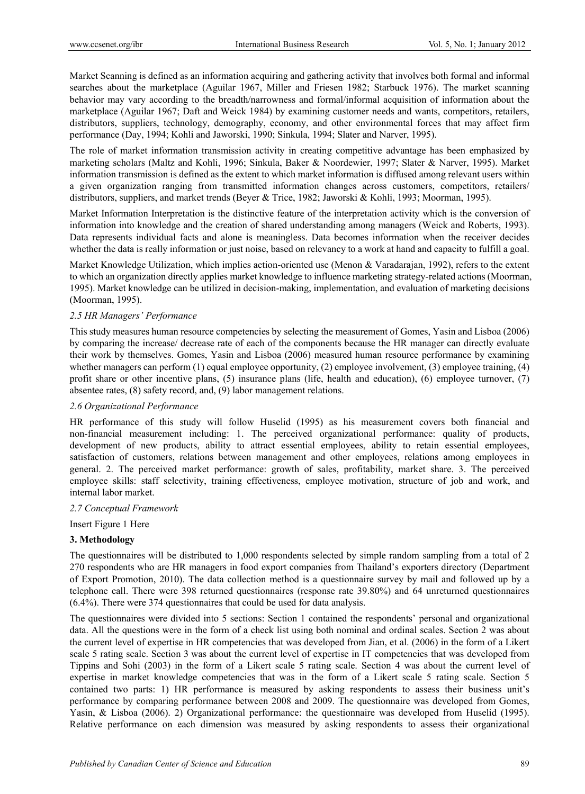Market Scanning is defined as an information acquiring and gathering activity that involves both formal and informal searches about the marketplace (Aguilar 1967, Miller and Friesen 1982; Starbuck 1976). The market scanning behavior may vary according to the breadth/narrowness and formal/informal acquisition of information about the marketplace (Aguilar 1967; Daft and Weick 1984) by examining customer needs and wants, competitors, retailers, distributors, suppliers, technology, demography, economy, and other environmental forces that may affect firm performance (Day, 1994; Kohli and Jaworski, 1990; Sinkula, 1994; Slater and Narver, 1995).

The role of market information transmission activity in creating competitive advantage has been emphasized by marketing scholars (Maltz and Kohli, 1996; Sinkula, Baker & Noordewier, 1997; Slater & Narver, 1995). Market information transmission is defined as the extent to which market information is diffused among relevant users within a given organization ranging from transmitted information changes across customers, competitors, retailers/ distributors, suppliers, and market trends (Beyer & Trice, 1982; Jaworski & Kohli, 1993; Moorman, 1995).

Market Information Interpretation is the distinctive feature of the interpretation activity which is the conversion of information into knowledge and the creation of shared understanding among managers (Weick and Roberts, 1993). Data represents individual facts and alone is meaningless. Data becomes information when the receiver decides whether the data is really information or just noise, based on relevancy to a work at hand and capacity to fulfill a goal.

Market Knowledge Utilization, which implies action-oriented use (Menon & Varadarajan, 1992), refers to the extent to which an organization directly applies market knowledge to influence marketing strategy-related actions (Moorman, 1995). Market knowledge can be utilized in decision-making, implementation, and evaluation of marketing decisions (Moorman, 1995).

# *2.5 HR Managers' Performance*

This study measures human resource competencies by selecting the measurement of Gomes, Yasin and Lisboa (2006) by comparing the increase/ decrease rate of each of the components because the HR manager can directly evaluate their work by themselves. Gomes, Yasin and Lisboa (2006) measured human resource performance by examining whether managers can perform (1) equal employee opportunity, (2) employee involvement, (3) employee training, (4) profit share or other incentive plans, (5) insurance plans (life, health and education), (6) employee turnover, (7) absentee rates, (8) safety record, and, (9) labor management relations.

## *2.6 Organizational Performance*

HR performance of this study will follow Huselid (1995) as his measurement covers both financial and non-financial measurement including: 1. The perceived organizational performance: quality of products, development of new products, ability to attract essential employees, ability to retain essential employees, satisfaction of customers, relations between management and other employees, relations among employees in general. 2. The perceived market performance: growth of sales, profitability, market share. 3. The perceived employee skills: staff selectivity, training effectiveness, employee motivation, structure of job and work, and internal labor market.

## *2.7 Conceptual Framework*

Insert Figure 1 Here

## **3. Methodology**

The questionnaires will be distributed to 1,000 respondents selected by simple random sampling from a total of 2 270 respondents who are HR managers in food export companies from Thailand's exporters directory (Department of Export Promotion, 2010). The data collection method is a questionnaire survey by mail and followed up by a telephone call. There were 398 returned questionnaires (response rate 39.80%) and 64 unreturned questionnaires (6.4%). There were 374 questionnaires that could be used for data analysis.

The questionnaires were divided into 5 sections: Section 1 contained the respondents' personal and organizational data. All the questions were in the form of a check list using both nominal and ordinal scales. Section 2 was about the current level of expertise in HR competencies that was developed from Jian, et al. (2006) in the form of a Likert scale 5 rating scale. Section 3 was about the current level of expertise in IT competencies that was developed from Tippins and Sohi (2003) in the form of a Likert scale 5 rating scale. Section 4 was about the current level of expertise in market knowledge competencies that was in the form of a Likert scale 5 rating scale. Section 5 contained two parts: 1) HR performance is measured by asking respondents to assess their business unit's performance by comparing performance between 2008 and 2009. The questionnaire was developed from Gomes, Yasin, & Lisboa (2006). 2) Organizational performance: the questionnaire was developed from Huselid (1995). Relative performance on each dimension was measured by asking respondents to assess their organizational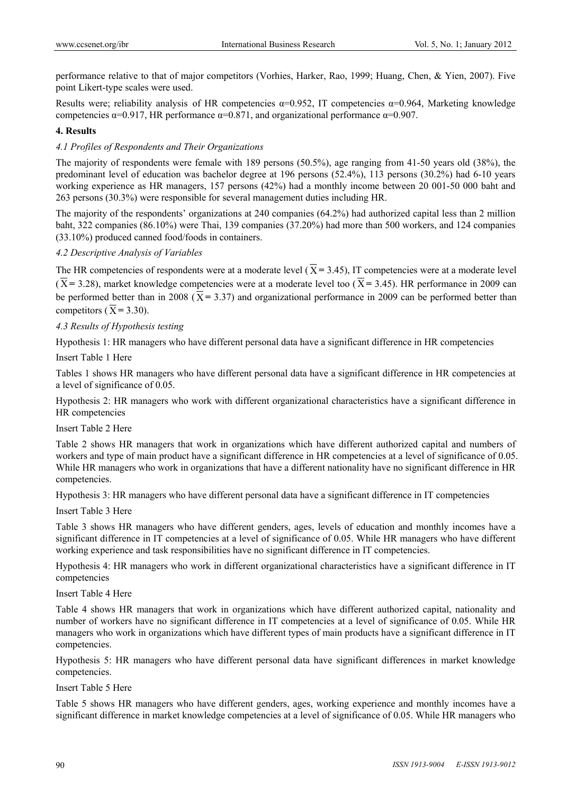performance relative to that of major competitors (Vorhies, Harker, Rao, 1999; Huang, Chen, & Yien, 2007). Five point Likert-type scales were used.

Results were; reliability analysis of HR competencies  $\alpha=0.952$ , IT competencies  $\alpha=0.964$ , Marketing knowledge competencies  $α=0.917$ , HR performance  $α=0.871$ , and organizational performance  $α=0.907$ .

# **4. Results**

# *4.1 Profiles of Respondents and Their Organizations*

The majority of respondents were female with 189 persons (50.5%), age ranging from 41-50 years old (38%), the predominant level of education was bachelor degree at 196 persons (52.4%), 113 persons (30.2%) had 6-10 years working experience as HR managers, 157 persons (42%) had a monthly income between 20 001-50 000 baht and 263 persons (30.3%) were responsible for several management duties including HR.

The majority of the respondents' organizations at 240 companies (64.2%) had authorized capital less than 2 million baht, 322 companies (86.10%) were Thai, 139 companies (37.20%) had more than 500 workers, and 124 companies (33.10%) produced canned food/foods in containers.

# *4.2 Descriptive Analysis of Variables*

The HR competencies of respondents were at a moderate level  $(\overline{X} = 3.45)$ , IT competencies were at a moderate level  $(\overline{X} = 3.28)$ , market knowledge competencies were at a moderate level too  $(\overline{X} = 3.45)$ . HR performance in 2009 can be performed better than in 2008 ( $\overline{X}$  = 3.37) and organizational performance in 2009 can be performed better than competitors ( $\overline{X}$  = 3.30).

# *4.3 Results of Hypothesis testing*

Hypothesis 1: HR managers who have different personal data have a significant difference in HR competencies

Insert Table 1 Here

Tables 1 shows HR managers who have different personal data have a significant difference in HR competencies at a level of significance of 0.05.

Hypothesis 2: HR managers who work with different organizational characteristics have a significant difference in HR competencies

# Insert Table 2 Here

Table 2 shows HR managers that work in organizations which have different authorized capital and numbers of workers and type of main product have a significant difference in HR competencies at a level of significance of 0.05. While HR managers who work in organizations that have a different nationality have no significant difference in HR competencies.

Hypothesis 3: HR managers who have different personal data have a significant difference in IT competencies

## Insert Table 3 Here

Table 3 shows HR managers who have different genders, ages, levels of education and monthly incomes have a significant difference in IT competencies at a level of significance of 0.05. While HR managers who have different working experience and task responsibilities have no significant difference in IT competencies.

Hypothesis 4: HR managers who work in different organizational characteristics have a significant difference in IT competencies

Insert Table 4 Here

Table 4 shows HR managers that work in organizations which have different authorized capital, nationality and number of workers have no significant difference in IT competencies at a level of significance of 0.05. While HR managers who work in organizations which have different types of main products have a significant difference in IT competencies.

Hypothesis 5: HR managers who have different personal data have significant differences in market knowledge competencies.

## Insert Table 5 Here

Table 5 shows HR managers who have different genders, ages, working experience and monthly incomes have a significant difference in market knowledge competencies at a level of significance of 0.05. While HR managers who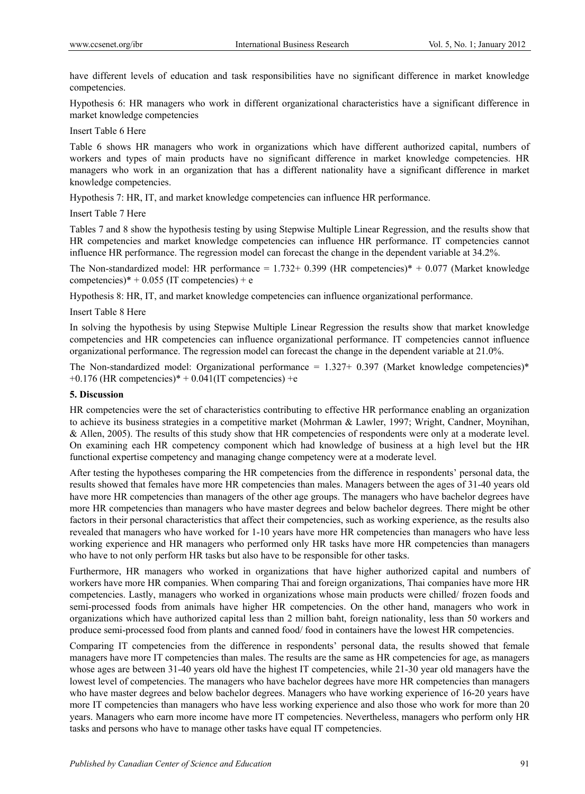have different levels of education and task responsibilities have no significant difference in market knowledge competencies.

Hypothesis 6: HR managers who work in different organizational characteristics have a significant difference in market knowledge competencies

#### Insert Table 6 Here

Table 6 shows HR managers who work in organizations which have different authorized capital, numbers of workers and types of main products have no significant difference in market knowledge competencies. HR managers who work in an organization that has a different nationality have a significant difference in market knowledge competencies.

Hypothesis 7: HR, IT, and market knowledge competencies can influence HR performance.

#### Insert Table 7 Here

Tables 7 and 8 show the hypothesis testing by using Stepwise Multiple Linear Regression, and the results show that HR competencies and market knowledge competencies can influence HR performance. IT competencies cannot influence HR performance. The regression model can forecast the change in the dependent variable at 34.2%.

The Non-standardized model: HR performance =  $1.732+0.399$  (HR competencies)\* + 0.077 (Market knowledge competencies)\* + 0.055 (IT competencies) + e

Hypothesis 8: HR, IT, and market knowledge competencies can influence organizational performance.

## Insert Table 8 Here

In solving the hypothesis by using Stepwise Multiple Linear Regression the results show that market knowledge competencies and HR competencies can influence organizational performance. IT competencies cannot influence organizational performance. The regression model can forecast the change in the dependent variable at 21.0%.

The Non-standardized model: Organizational performance =  $1.327+0.397$  (Market knowledge competencies)\*  $+0.176$  (HR competencies)\*  $+0.041$ (IT competencies) +e

#### **5. Discussion**

HR competencies were the set of characteristics contributing to effective HR performance enabling an organization to achieve its business strategies in a competitive market (Mohrman & Lawler, 1997; Wright, Candner, Moynihan, & Allen, 2005). The results of this study show that HR competencies of respondents were only at a moderate level. On examining each HR competency component which had knowledge of business at a high level but the HR functional expertise competency and managing change competency were at a moderate level.

After testing the hypotheses comparing the HR competencies from the difference in respondents' personal data, the results showed that females have more HR competencies than males. Managers between the ages of 31-40 years old have more HR competencies than managers of the other age groups. The managers who have bachelor degrees have more HR competencies than managers who have master degrees and below bachelor degrees. There might be other factors in their personal characteristics that affect their competencies, such as working experience, as the results also revealed that managers who have worked for 1-10 years have more HR competencies than managers who have less working experience and HR managers who performed only HR tasks have more HR competencies than managers who have to not only perform HR tasks but also have to be responsible for other tasks.

Furthermore, HR managers who worked in organizations that have higher authorized capital and numbers of workers have more HR companies. When comparing Thai and foreign organizations, Thai companies have more HR competencies. Lastly, managers who worked in organizations whose main products were chilled/ frozen foods and semi-processed foods from animals have higher HR competencies. On the other hand, managers who work in organizations which have authorized capital less than 2 million baht, foreign nationality, less than 50 workers and produce semi-processed food from plants and canned food/ food in containers have the lowest HR competencies.

Comparing IT competencies from the difference in respondents' personal data, the results showed that female managers have more IT competencies than males. The results are the same as HR competencies for age, as managers whose ages are between 31-40 years old have the highest IT competencies, while 21-30 year old managers have the lowest level of competencies. The managers who have bachelor degrees have more HR competencies than managers who have master degrees and below bachelor degrees. Managers who have working experience of 16-20 years have more IT competencies than managers who have less working experience and also those who work for more than 20 years. Managers who earn more income have more IT competencies. Nevertheless, managers who perform only HR tasks and persons who have to manage other tasks have equal IT competencies.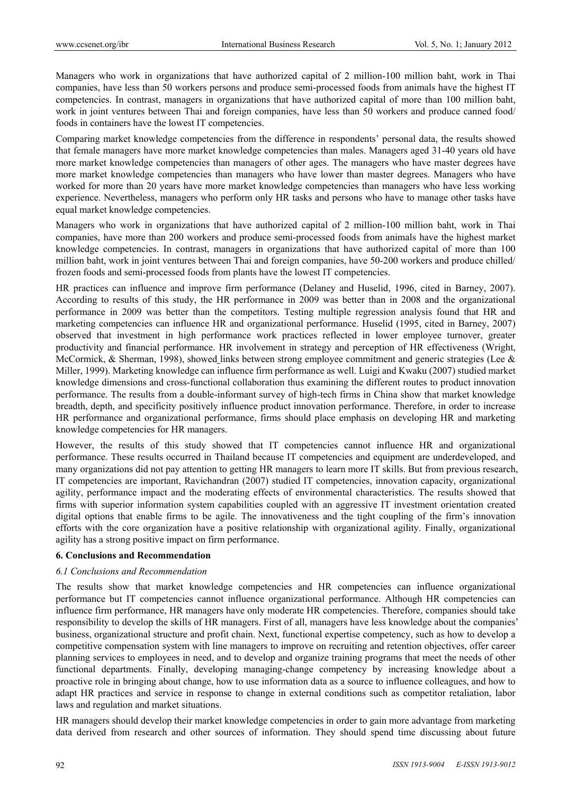Managers who work in organizations that have authorized capital of 2 million-100 million baht, work in Thai companies, have less than 50 workers persons and produce semi-processed foods from animals have the highest IT competencies. In contrast, managers in organizations that have authorized capital of more than 100 million baht, work in joint ventures between Thai and foreign companies, have less than 50 workers and produce canned food/ foods in containers have the lowest IT competencies.

Comparing market knowledge competencies from the difference in respondents' personal data, the results showed that female managers have more market knowledge competencies than males. Managers aged 31-40 years old have more market knowledge competencies than managers of other ages. The managers who have master degrees have more market knowledge competencies than managers who have lower than master degrees. Managers who have worked for more than 20 years have more market knowledge competencies than managers who have less working experience. Nevertheless, managers who perform only HR tasks and persons who have to manage other tasks have equal market knowledge competencies.

Managers who work in organizations that have authorized capital of 2 million-100 million baht, work in Thai companies, have more than 200 workers and produce semi-processed foods from animals have the highest market knowledge competencies. In contrast, managers in organizations that have authorized capital of more than 100 million baht, work in joint ventures between Thai and foreign companies, have 50-200 workers and produce chilled/ frozen foods and semi-processed foods from plants have the lowest IT competencies.

HR practices can influence and improve firm performance (Delaney and Huselid, 1996, cited in Barney, 2007). According to results of this study, the HR performance in 2009 was better than in 2008 and the organizational performance in 2009 was better than the competitors. Testing multiple regression analysis found that HR and marketing competencies can influence HR and organizational performance. Huselid (1995, cited in Barney, 2007) observed that investment in high performance work practices reflected in lower employee turnover, greater productivity and financial performance. HR involvement in strategy and perception of HR effectiveness (Wright, McCormick, & Sherman, 1998), showed links between strong employee commitment and generic strategies (Lee & Miller, 1999). Marketing knowledge can influence firm performance as well. Luigi and Kwaku (2007) studied market knowledge dimensions and cross-functional collaboration thus examining the different routes to product innovation performance. The results from a double-informant survey of high-tech firms in China show that market knowledge breadth, depth, and specificity positively influence product innovation performance. Therefore, in order to increase HR performance and organizational performance, firms should place emphasis on developing HR and marketing knowledge competencies for HR managers.

However, the results of this study showed that IT competencies cannot influence HR and organizational performance. These results occurred in Thailand because IT competencies and equipment are underdeveloped, and many organizations did not pay attention to getting HR managers to learn more IT skills. But from previous research, IT competencies are important, Ravichandran (2007) studied IT competencies, innovation capacity, organizational agility, performance impact and the moderating effects of environmental characteristics. The results showed that firms with superior information system capabilities coupled with an aggressive IT investment orientation created digital options that enable firms to be agile. The innovativeness and the tight coupling of the firm's innovation efforts with the core organization have a positive relationship with organizational agility. Finally, organizational agility has a strong positive impact on firm performance.

#### **6. Conclusions and Recommendation**

#### *6.1 Conclusions and Recommendation*

The results show that market knowledge competencies and HR competencies can influence organizational performance but IT competencies cannot influence organizational performance. Although HR competencies can influence firm performance, HR managers have only moderate HR competencies. Therefore, companies should take responsibility to develop the skills of HR managers. First of all, managers have less knowledge about the companies' business, organizational structure and profit chain. Next, functional expertise competency, such as how to develop a competitive compensation system with line managers to improve on recruiting and retention objectives, offer career planning services to employees in need, and to develop and organize training programs that meet the needs of other functional departments. Finally, developing managing-change competency by increasing knowledge about a proactive role in bringing about change, how to use information data as a source to influence colleagues, and how to adapt HR practices and service in response to change in external conditions such as competitor retaliation, labor laws and regulation and market situations.

HR managers should develop their market knowledge competencies in order to gain more advantage from marketing data derived from research and other sources of information. They should spend time discussing about future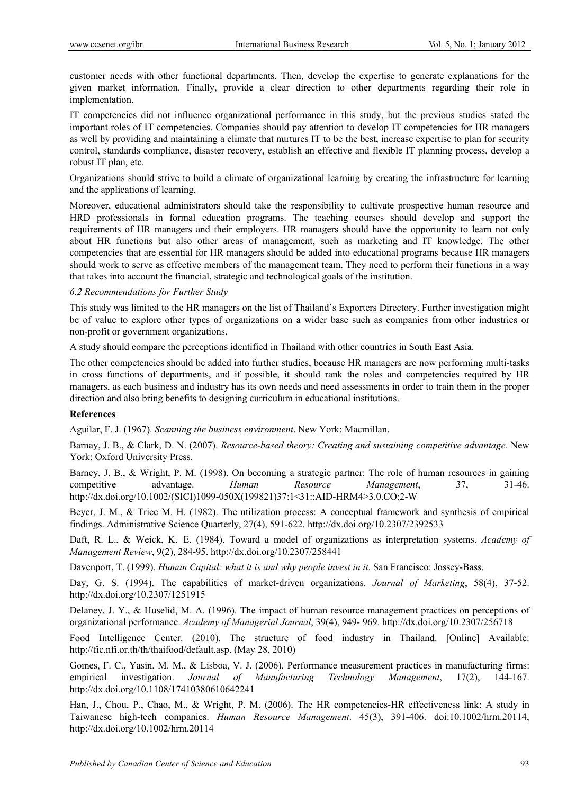customer needs with other functional departments. Then, develop the expertise to generate explanations for the given market information. Finally, provide a clear direction to other departments regarding their role in implementation.

IT competencies did not influence organizational performance in this study, but the previous studies stated the important roles of IT competencies. Companies should pay attention to develop IT competencies for HR managers as well by providing and maintaining a climate that nurtures IT to be the best, increase expertise to plan for security control, standards compliance, disaster recovery, establish an effective and flexible IT planning process, develop a robust IT plan, etc.

Organizations should strive to build a climate of organizational learning by creating the infrastructure for learning and the applications of learning.

Moreover, educational administrators should take the responsibility to cultivate prospective human resource and HRD professionals in formal education programs. The teaching courses should develop and support the requirements of HR managers and their employers. HR managers should have the opportunity to learn not only about HR functions but also other areas of management, such as marketing and IT knowledge. The other competencies that are essential for HR managers should be added into educational programs because HR managers should work to serve as effective members of the management team. They need to perform their functions in a way that takes into account the financial, strategic and technological goals of the institution.

*6.2 Recommendations for Further Study* 

This study was limited to the HR managers on the list of Thailand's Exporters Directory. Further investigation might be of value to explore other types of organizations on a wider base such as companies from other industries or non-profit or government organizations.

A study should compare the perceptions identified in Thailand with other countries in South East Asia.

The other competencies should be added into further studies, because HR managers are now performing multi-tasks in cross functions of departments, and if possible, it should rank the roles and competencies required by HR managers, as each business and industry has its own needs and need assessments in order to train them in the proper direction and also bring benefits to designing curriculum in educational institutions.

# **References**

Aguilar, F. J. (1967). *Scanning the business environment*. New York: Macmillan.

Barnay, J. B., & Clark, D. N. (2007). *Resource-based theory: Creating and sustaining competitive advantage*. New York: Oxford University Press.

Barney, J. B., & Wright, P. M. (1998). On becoming a strategic partner: The role of human resources in gaining competitive advantage. *Human Resource Management*, 37, 31-46. http://dx.doi.org/10.1002/(SICI)1099-050X(199821)37:1<31::AID-HRM4>3.0.CO;2-W

Beyer, J. M., & Trice M. H. (1982). The utilization process: A conceptual framework and synthesis of empirical findings. Administrative Science Quarterly, 27(4), 591-622. http://dx.doi.org/10.2307/2392533

Daft, R. L., & Weick, K. E. (1984). Toward a model of organizations as interpretation systems. *Academy of Management Review*, 9(2), 284-95. http://dx.doi.org/10.2307/258441

Davenport, T. (1999). *Human Capital: what it is and why people invest in it*. San Francisco: Jossey-Bass.

Day, G. S. (1994). The capabilities of market-driven organizations. *Journal of Marketing*, 58(4), 37-52. http://dx.doi.org/10.2307/1251915

Delaney, J. Y., & Huselid, M. A. (1996). The impact of human resource management practices on perceptions of organizational performance. *Academy of Managerial Journal*, 39(4), 949- 969. http://dx.doi.org/10.2307/256718

Food Intelligence Center. (2010). The structure of food industry in Thailand. [Online] Available: http://fic.nfi.or.th/th/thaifood/default.asp. (May 28, 2010)

Gomes, F. C., Yasin, M. M., & Lisboa, V. J. (2006). Performance measurement practices in manufacturing firms: empirical investigation. *Journal of Manufacturing Technology Management*, 17(2), 144-167. http://dx.doi.org/10.1108/17410380610642241

Han, J., Chou, P., Chao, M., & Wright, P. M. (2006). The HR competencies-HR effectiveness link: A study in Taiwanese high-tech companies. *Human Resource Management*. 45(3), 391-406. doi:10.1002/hrm.20114, http://dx.doi.org/10.1002/hrm.20114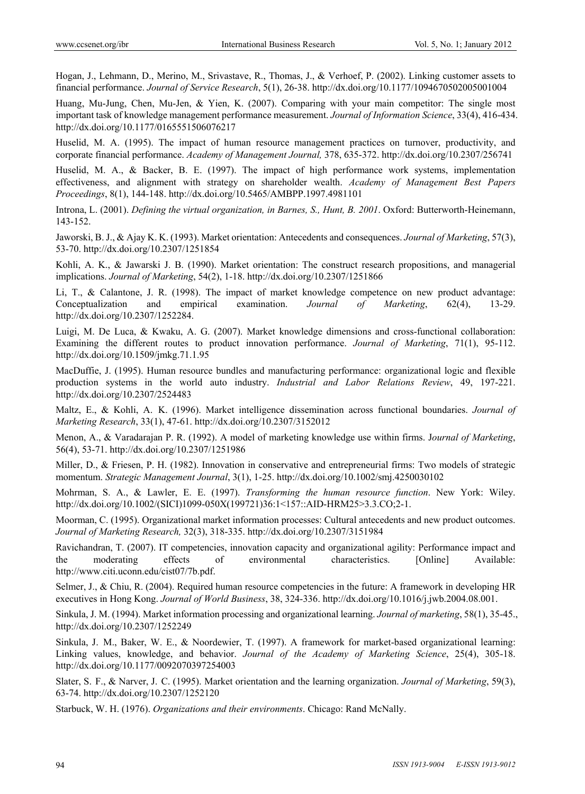Hogan, J., Lehmann, D., Merino, M., Srivastave, R., Thomas, J., & Verhoef, P. (2002). Linking customer assets to financial performance. *Journal of Service Research*, 5(1), 26-38. http://dx.doi.org/10.1177/1094670502005001004

Huang, Mu-Jung, Chen, Mu-Jen, & Yien, K. (2007). Comparing with your main competitor: The single most important task of knowledge management performance measurement. *Journal of Information Science*, 33(4), 416-434. http://dx.doi.org/10.1177/0165551506076217

Huselid, M. A. (1995). The impact of human resource management practices on turnover, productivity, and corporate financial performance. *Academy of Management Journal,* 378, 635-372. http://dx.doi.org/10.2307/256741

Huselid, M. A., & Backer, B. E. (1997). The impact of high performance work systems, implementation effectiveness, and alignment with strategy on shareholder wealth. *Academy of Management Best Papers Proceedings*, 8(1), 144-148. http://dx.doi.org/10.5465/AMBPP.1997.4981101

Introna, L. (2001). *Defining the virtual organization, in Barnes, S., Hunt, B. 2001*. Oxford: Butterworth-Heinemann, 143-152.

Jaworski, B. J., & Ajay K. K. (1993). Market orientation: Antecedents and consequences. *Journal of Marketing*, 57(3), 53-70. http://dx.doi.org/10.2307/1251854

Kohli, A. K., & Jawarski J. B. (1990). Market orientation: The construct research propositions, and managerial implications. *Journal of Marketing*, 54(2), 1-18. http://dx.doi.org/10.2307/1251866

Li, T., & Calantone, J. R. (1998). The impact of market knowledge competence on new product advantage: Conceptualization and empirical examination. *Journal of Marketing*, 62(4), 13-29. http://dx.doi.org/10.2307/1252284.

Luigi, M. De Luca, & Kwaku, A. G. (2007). Market knowledge dimensions and cross-functional collaboration: Examining the different routes to product innovation performance. *Journal of Marketing*, 71(1), 95-112. http://dx.doi.org/10.1509/jmkg.71.1.95

MacDuffie, J. (1995). Human resource bundles and manufacturing performance: organizational logic and flexible production systems in the world auto industry. *Industrial and Labor Relations Review*, 49, 197-221. http://dx.doi.org/10.2307/2524483

Maltz, E., & Kohli, A. K. (1996). Market intelligence dissemination across functional boundaries. *Journal of Marketing Research*, 33(1), 47-61. http://dx.doi.org/10.2307/3152012

Menon, A., & Varadarajan P. R. (1992). A model of marketing knowledge use within firms. J*ournal of Marketing*, 56(4), 53-71. http://dx.doi.org/10.2307/1251986

Miller, D., & Friesen, P. H. (1982). Innovation in conservative and entrepreneurial firms: Two models of strategic momentum. *Strategic Management Journal*, 3(1), 1-25. http://dx.doi.org/10.1002/smj.4250030102

Mohrman, S. A., & Lawler, E. E. (1997). *Transforming the human resource function*. New York: Wiley. http://dx.doi.org/10.1002/(SICI)1099-050X(199721)36:1<157::AID-HRM25>3.3.CO;2-1.

Moorman, C. (1995). Organizational market information processes: Cultural antecedents and new product outcomes. *Journal of Marketing Research,* 32(3), 318-335. http://dx.doi.org/10.2307/3151984

Ravichandran, T. (2007). IT competencies, innovation capacity and organizational agility: Performance impact and the moderating effects of environmental characteristics. [Online] Available: http://www.citi.uconn.edu/cist07/7b.pdf.

Selmer, J., & Chiu, R. (2004). Required human resource competencies in the future: A framework in developing HR executives in Hong Kong. *Journal of World Business*, 38, 324-336. http://dx.doi.org/10.1016/j.jwb.2004.08.001.

Sinkula, J. M. (1994). Market information processing and organizational learning. *Journal of marketing*, 58(1), 35-45., http://dx.doi.org/10.2307/1252249

Sinkula, J. M., Baker, W. E., & Noordewier, T. (1997). A framework for market-based organizational learning: Linking values, knowledge, and behavior. *Journal of the Academy of Marketing Science*, 25(4), 305-18. http://dx.doi.org/10.1177/0092070397254003

Slater, S. F., & Narver, J. C. (1995). Market orientation and the learning organization. *Journal of Marketing*, 59(3), 63-74. http://dx.doi.org/10.2307/1252120

Starbuck, W. H. (1976). *Organizations and their environments*. Chicago: Rand McNally.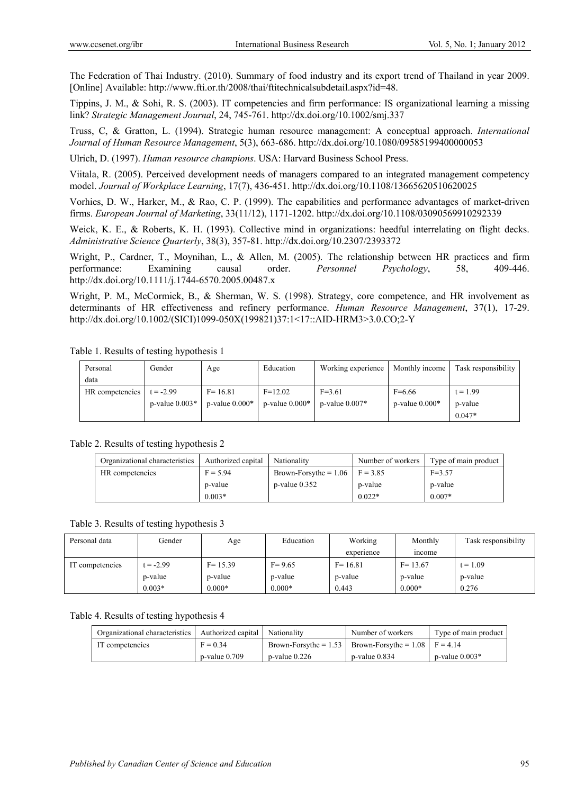The Federation of Thai Industry. (2010). Summary of food industry and its export trend of Thailand in year 2009. [Online] Available: http://www.fti.or.th/2008/thai/ftitechnicalsubdetail.aspx?id=48.

Tippins, J. M., & Sohi, R. S. (2003). IT competencies and firm performance: IS organizational learning a missing link? *Strategic Management Journal*, 24, 745-761. http://dx.doi.org/10.1002/smj.337

Truss, C, & Gratton, L. (1994). Strategic human resource management: A conceptual approach. *International Journal of Human Resource Management*, 5(3), 663-686. http://dx.doi.org/10.1080/09585199400000053

Ulrich, D. (1997). *Human resource champions*. USA: Harvard Business School Press.

Viitala, R. (2005). Perceived development needs of managers compared to an integrated management competency model. *Journal of Workplace Learning*, 17(7), 436-451. http://dx.doi.org/10.1108/13665620510620025

Vorhies, D. W., Harker, M., & Rao, C. P. (1999). The capabilities and performance advantages of market-driven firms. *European Journal of Marketing*, 33(11/12), 1171-1202. http://dx.doi.org/10.1108/03090569910292339

Weick, K. E., & Roberts, K. H. (1993). Collective mind in organizations: heedful interrelating on flight decks. *Administrative Science Quarterly*, 38(3), 357-81. http://dx.doi.org/10.2307/2393372

Wright, P., Cardner, T., Moynihan, L., & Allen, M. (2005). The relationship between HR practices and firm performance: Examining causal order. *Personnel Psychology*, 58, 409-446. http://dx.doi.org/10.1111/j.1744-6570.2005.00487.x

Wright, P. M., McCormick, B., & Sherman, W. S. (1998). Strategy, core competence, and HR involvement as determinants of HR effectiveness and refinery performance. *Human Resource Management*, 37(1), 17-29. http://dx.doi.org/10.1002/(SICI)1099-050X(199821)37:1<17::AID-HRM3>3.0.CO;2-Y

| Personal        | Gender              | Age                 | Education           | Working experience  | Monthly income      | Task responsibility |
|-----------------|---------------------|---------------------|---------------------|---------------------|---------------------|---------------------|
| data            |                     |                     |                     |                     |                     |                     |
| HR competencies | $t = -2.99$         | $F = 16.81$         | $F=12.02$           | $F=3.61$            | $F=6.66$            | $t = 1.99$          |
|                 | $p$ -value $0.003*$ | $p$ -value $0.000*$ | $p$ -value $0.000*$ | $p$ -value $0.007*$ | $p$ -value $0.000*$ | p-value             |
|                 |                     |                     |                     |                     |                     | $0.047*$            |

Table 1. Results of testing hypothesis 1

Table 2. Results of testing hypothesis 2

| Organizational characteristics | Authorized capital | Nationality                          | Number of workers | Type of main product |
|--------------------------------|--------------------|--------------------------------------|-------------------|----------------------|
| HR competencies                | $F = 5.94$         | Brown-Forsythe = $1.06$   F = $3.85$ |                   | $F=3.57$             |
|                                | p-value            | $p$ -value 0.352                     | p-value           | p-value              |
|                                | $0.003*$           |                                      | $0.022*$          | $0.007*$             |

Table 3. Results of testing hypothesis 3

| Personal data   | Gender    | Age         | Education  | Working     | Monthly     | Task responsibility |
|-----------------|-----------|-------------|------------|-------------|-------------|---------------------|
|                 |           |             |            | experience  | income      |                     |
| IT competencies | $= -2.99$ | $F = 15.39$ | $F = 9.65$ | $F = 16.81$ | $F = 13.67$ | $t = 1.09$          |
|                 | p-value   | p-value     | p-value    | p-value     | p-value     | p-value             |
|                 | $0.003*$  | $0.000*$    | $0.000*$   | 0.443       | $0.000*$    | 0.276               |

## Table 4. Results of testing hypothesis 4

| Organizational characteristics   Authorized capital   Nationality |                  |                  | Number of workers                                          | Type of main product |
|-------------------------------------------------------------------|------------------|------------------|------------------------------------------------------------|----------------------|
| IT competencies                                                   | $F = 0.34$       |                  | Brown-Forsythe = $1.53$ Brown-Forsythe = $1.08$ F = $4.14$ |                      |
|                                                                   | $p$ -value 0.709 | $p$ -value 0.226 | $p$ -value 0.834                                           | $p$ -value $0.003*$  |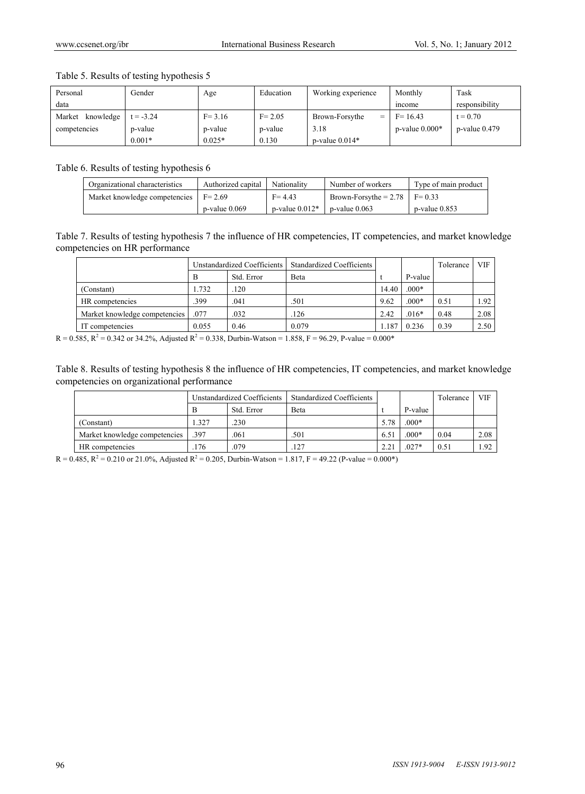| Personal            | Gender      | Age        | Education  | Working experience  | Monthly             | Task               |
|---------------------|-------------|------------|------------|---------------------|---------------------|--------------------|
| data                |             |            |            |                     | mcome               | responsibility     |
| knowledge<br>Market | $t = -3.24$ | $F = 3.16$ | $F = 2.05$ | Brown-Forsythe<br>= | $F = 16.43$         | $t = 0.70$         |
| competencies        | p-value     | p-value    | p-value    | 3.18                | $p$ -value $0.000*$ | $p$ -value $0.479$ |
|                     | $0.001*$    | $0.025*$   | 0.130      | $p$ -value $0.014*$ |                     |                    |

Table 5. Results of testing hypothesis 5

Table 6. Results of testing hypothesis 6

| Organizational characteristics | Authorized capital | Nationality         | Number of workers       | Type of main product |
|--------------------------------|--------------------|---------------------|-------------------------|----------------------|
| Market knowledge competencies  | $F = 2.69$         | $F = 4.43$          | Brown-Forsythe $= 2.78$ | $F = 0.33$           |
|                                | $p$ -value $0.069$ | $p$ -value $0.012*$ | $p$ -value $0.063$      | $p$ -value 0.853     |

Table 7. Results of testing hypothesis 7 the influence of HR competencies, IT competencies, and market knowledge competencies on HR performance

|                               | Unstandardized Coefficients |            | <b>Standardized Coefficients</b> |       |         | Tolerance | <b>VIF</b> |
|-------------------------------|-----------------------------|------------|----------------------------------|-------|---------|-----------|------------|
|                               | B                           | Std. Error | Beta                             |       | P-value |           |            |
| (Constant)                    | .732                        | 120        |                                  | 14.40 | $.000*$ |           |            |
| HR competencies               | 399                         | .041       | .501                             | 9.62  | $.000*$ | 0.51      | 1.92       |
| Market knowledge competencies | .077                        | .032       | .126                             | 2.42  | $.016*$ | 0.48      | 2.08       |
| IT competencies               | 0.055                       | 0.46       | 0.079                            | 1.187 | 0.236   | 0.39      | 2.50       |

 $R = 0.585$ ,  $R^2 = 0.342$  or 34.2%, Adjusted  $R^2 = 0.338$ , Durbin-Watson = 1.858, F = 96.29, P-value = 0.000\*

Table 8. Results of testing hypothesis 8 the influence of HR competencies, IT competencies, and market knowledge competencies on organizational performance

|                               | Unstandardized Coefficients |            | <b>Standardized Coefficients</b> |      |         | Tolerance | <b>VIF</b> |
|-------------------------------|-----------------------------|------------|----------------------------------|------|---------|-----------|------------|
|                               |                             | Std. Error | Beta                             |      | P-value |           |            |
| (Constant)                    | .327                        | .230       |                                  | 5.78 | $.000*$ |           |            |
| Market knowledge competencies | .397                        | .061       | 501                              | 6.51 | $.000*$ | 0.04      | 2.08       |
| HR competencies               | .176                        | .079       | .127                             | 2.21 | $.027*$ | 0.51      | 1.92       |

 $R = 0.485$ ,  $R^2 = 0.210$  or 21.0%, Adjusted  $R^2 = 0.205$ , Durbin-Watson = 1.817, F = 49.22 (P-value = 0.000\*)